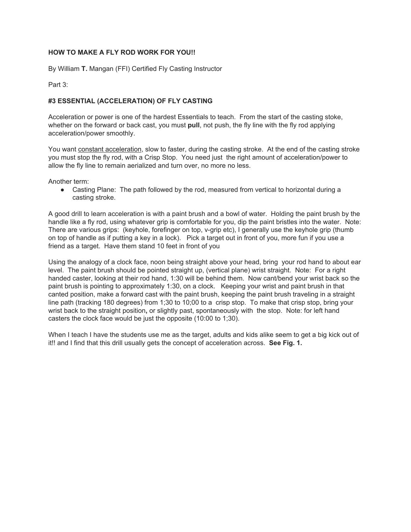## **HOW TO MAKE A FLY ROD WORK FOR YOU!!**

By William **T.** Mangan (FFI) Certified Fly Casting Instructor

Part 3:

## **#3 ESSENTIAL (ACCELERATION) OF FLY CASTING**

Acceleration or power is one of the hardest Essentials to teach. From the start of the casting stoke, whether on the forward or back cast, you must **pull**, not push, the fly line with the fly rod applying acceleration/power smoothly.

You want constant acceleration, slow to faster, during the casting stroke. At the end of the casting stroke you must stop the fly rod, with a Crisp Stop. You need just the right amount of acceleration/power to allow the fly line to remain aerialized and turn over, no more no less.

Another term:

● Casting Plane: The path followed by the rod, measured from vertical to horizontal during a casting stroke.

A good drill to learn acceleration is with a paint brush and a bowl of water. Holding the paint brush by the handle like a fly rod, using whatever grip is comfortable for you, dip the paint bristles into the water. Note: There are various grips: (keyhole, forefinger on top, v-grip etc), I generally use the keyhole grip (thumb on top of handle as if putting a key in a lock). Pick a target out in front of you, more fun if you use a friend as a target. Have them stand 10 feet in front of you

Using the analogy of a clock face, noon being straight above your head, bring your rod hand to about ear level. The paint brush should be pointed straight up, (vertical plane) wrist straight. Note: For a right handed caster, looking at their rod hand, 1:30 will be behind them. Now cant/bend your wrist back so the paint brush is pointing to approximately 1:30, on a clock. Keeping your wrist and paint brush in that canted position, make a forward cast with the paint brush, keeping the paint brush traveling in a straight line path (tracking 180 degrees) from 1;30 to 10;00 to a crisp stop. To make that crisp stop, bring your wrist back to the straight position**,** or slightly past, spontaneously with the stop. Note: for left hand casters the clock face would be just the opposite (10:00 to 1;30).

When I teach I have the students use me as the target, adults and kids alike seem to get a big kick out of it!! and I find that this drill usually gets the concept of acceleration across. **See Fig. 1.**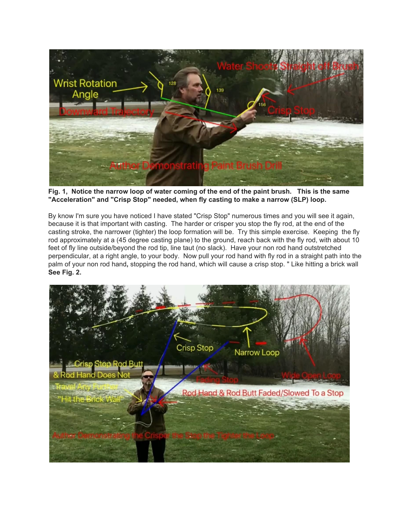

Fig. 1, Notice the narrow loop of water coming of the end of the paint brush. This is the same **"Acceleration" and "Crisp Stop" needed, when fly casting to make a narrow (SLP) loop.**

By know I'm sure you have noticed I have stated "Crisp Stop" numerous times and you will see it again, because it is that important with casting. The harder or crisper you stop the fly rod, at the end of the casting stroke, the narrower (tighter) the loop formation will be. Try this simple exercise. Keeping the fly rod approximately at a (45 degree casting plane) to the ground, reach back with the fly rod, with about 10 feet of fly line outside/beyond the rod tip, line taut (no slack). Have your non rod hand outstretched perpendicular, at a right angle, to your body. Now pull your rod hand with fly rod in a straight path into the palm of your non rod hand**,** stopping the rod hand, which will cause a crisp stop. " Like hitting a brick wall **See Fig. 2.**